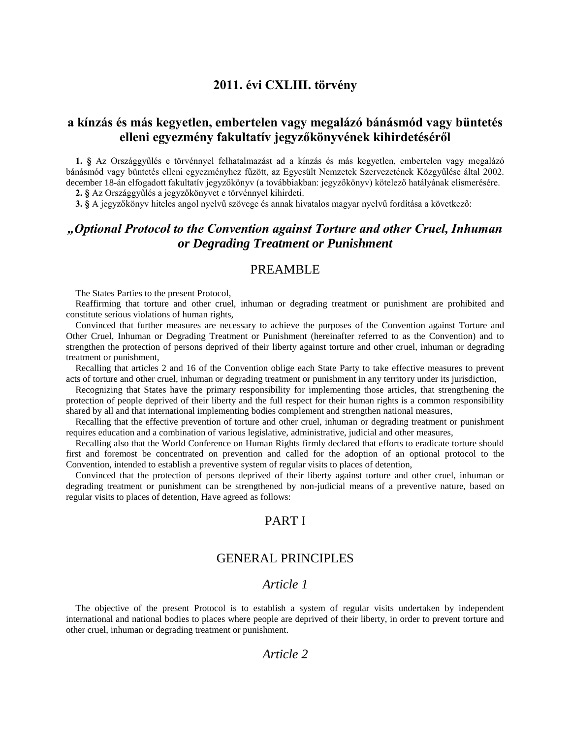#### **2011. évi CXLIII. törvény**

# **a kínzás és más kegyetlen, embertelen vagy megalázó bánásmód vagy büntetés elleni egyezmény fakultatív jegyzőkönyvének kihirdetéséről**

**1. §** Az Országgyűlés e törvénnyel felhatalmazást ad a kínzás és más kegyetlen, embertelen vagy megalázó bánásmód vagy büntetés elleni egyezményhez fűzött, az Egyesült Nemzetek Szervezetének Közgyűlése által 2002. december 18-án elfogadott fakultatív jegyzőkönyv (a továbbiakban: jegyzőkönyv) kötelező hatályának elismerésére.

**2. §** Az Országgyűlés a jegyzőkönyvet e törvénnyel kihirdeti.

**3. §** A jegyzőkönyv hiteles angol nyelvű szövege és annak hivatalos magyar nyelvű fordítása a következő:

# *"Optional Protocol to the Convention against Torture and other Cruel, Inhuman or Degrading Treatment or Punishment*

# PREAMBLE

The States Parties to the present Protocol,

Reaffirming that torture and other cruel, inhuman or degrading treatment or punishment are prohibited and constitute serious violations of human rights,

Convinced that further measures are necessary to achieve the purposes of the Convention against Torture and Other Cruel, Inhuman or Degrading Treatment or Punishment (hereinafter referred to as the Convention) and to strengthen the protection of persons deprived of their liberty against torture and other cruel, inhuman or degrading treatment or punishment,

Recalling that articles 2 and 16 of the Convention oblige each State Party to take effective measures to prevent acts of torture and other cruel, inhuman or degrading treatment or punishment in any territory under its jurisdiction,

Recognizing that States have the primary responsibility for implementing those articles, that strengthening the protection of people deprived of their liberty and the full respect for their human rights is a common responsibility shared by all and that international implementing bodies complement and strengthen national measures,

Recalling that the effective prevention of torture and other cruel, inhuman or degrading treatment or punishment requires education and a combination of various legislative, administrative, judicial and other measures,

Recalling also that the World Conference on Human Rights firmly declared that efforts to eradicate torture should first and foremost be concentrated on prevention and called for the adoption of an optional protocol to the Convention, intended to establish a preventive system of regular visits to places of detention,

Convinced that the protection of persons deprived of their liberty against torture and other cruel, inhuman or degrading treatment or punishment can be strengthened by non-judicial means of a preventive nature, based on regular visits to places of detention, Have agreed as follows:

#### PART I

#### GENERAL PRINCIPLES

# *Article 1*

The objective of the present Protocol is to establish a system of regular visits undertaken by independent international and national bodies to places where people are deprived of their liberty, in order to prevent torture and other cruel, inhuman or degrading treatment or punishment.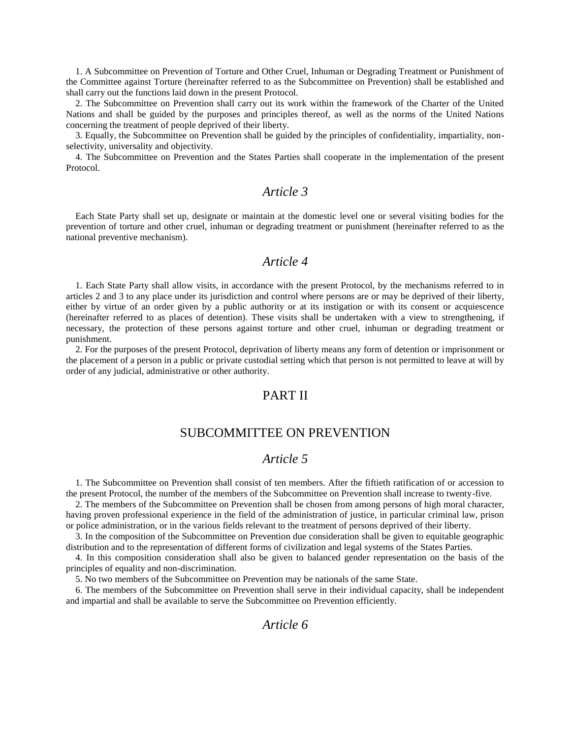1. A Subcommittee on Prevention of Torture and Other Cruel, Inhuman or Degrading Treatment or Punishment of the Committee against Torture (hereinafter referred to as the Subcommittee on Prevention) shall be established and shall carry out the functions laid down in the present Protocol.

2. The Subcommittee on Prevention shall carry out its work within the framework of the Charter of the United Nations and shall be guided by the purposes and principles thereof, as well as the norms of the United Nations concerning the treatment of people deprived of their liberty.

3. Equally, the Subcommittee on Prevention shall be guided by the principles of confidentiality, impartiality, nonselectivity, universality and objectivity.

4. The Subcommittee on Prevention and the States Parties shall cooperate in the implementation of the present Protocol.

# *Article 3*

Each State Party shall set up, designate or maintain at the domestic level one or several visiting bodies for the prevention of torture and other cruel, inhuman or degrading treatment or punishment (hereinafter referred to as the national preventive mechanism).

# *Article 4*

1. Each State Party shall allow visits, in accordance with the present Protocol, by the mechanisms referred to in articles 2 and 3 to any place under its jurisdiction and control where persons are or may be deprived of their liberty, either by virtue of an order given by a public authority or at its instigation or with its consent or acquiescence (hereinafter referred to as places of detention). These visits shall be undertaken with a view to strengthening, if necessary, the protection of these persons against torture and other cruel, inhuman or degrading treatment or punishment.

2. For the purposes of the present Protocol, deprivation of liberty means any form of detention or imprisonment or the placement of a person in a public or private custodial setting which that person is not permitted to leave at will by order of any judicial, administrative or other authority.

# PART II

# SUBCOMMITTEE ON PREVENTION

### *Article 5*

1. The Subcommittee on Prevention shall consist of ten members. After the fiftieth ratification of or accession to the present Protocol, the number of the members of the Subcommittee on Prevention shall increase to twenty-five.

2. The members of the Subcommittee on Prevention shall be chosen from among persons of high moral character, having proven professional experience in the field of the administration of justice, in particular criminal law, prison or police administration, or in the various fields relevant to the treatment of persons deprived of their liberty.

3. In the composition of the Subcommittee on Prevention due consideration shall be given to equitable geographic distribution and to the representation of different forms of civilization and legal systems of the States Parties.

4. In this composition consideration shall also be given to balanced gender representation on the basis of the principles of equality and non-discrimination.

5. No two members of the Subcommittee on Prevention may be nationals of the same State.

6. The members of the Subcommittee on Prevention shall serve in their individual capacity, shall be independent and impartial and shall be available to serve the Subcommittee on Prevention efficiently.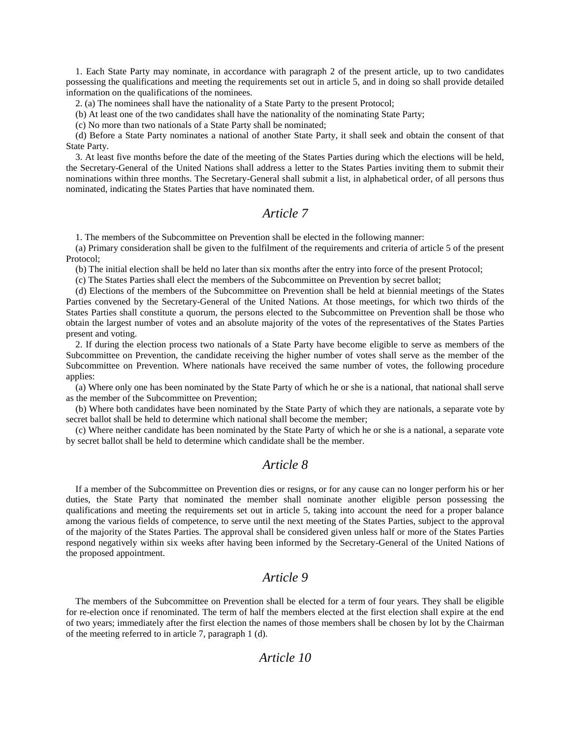1. Each State Party may nominate, in accordance with paragraph 2 of the present article, up to two candidates possessing the qualifications and meeting the requirements set out in article 5, and in doing so shall provide detailed information on the qualifications of the nominees.

2. (a) The nominees shall have the nationality of a State Party to the present Protocol;

(b) At least one of the two candidates shall have the nationality of the nominating State Party;

(c) No more than two nationals of a State Party shall be nominated;

(d) Before a State Party nominates a national of another State Party, it shall seek and obtain the consent of that State Party.

3. At least five months before the date of the meeting of the States Parties during which the elections will be held, the Secretary-General of the United Nations shall address a letter to the States Parties inviting them to submit their nominations within three months. The Secretary-General shall submit a list, in alphabetical order, of all persons thus nominated, indicating the States Parties that have nominated them.

#### *Article 7*

1. The members of the Subcommittee on Prevention shall be elected in the following manner:

(a) Primary consideration shall be given to the fulfilment of the requirements and criteria of article 5 of the present Protocol;

(b) The initial election shall be held no later than six months after the entry into force of the present Protocol;

(c) The States Parties shall elect the members of the Subcommittee on Prevention by secret ballot;

(d) Elections of the members of the Subcommittee on Prevention shall be held at biennial meetings of the States Parties convened by the Secretary-General of the United Nations. At those meetings, for which two thirds of the States Parties shall constitute a quorum, the persons elected to the Subcommittee on Prevention shall be those who obtain the largest number of votes and an absolute majority of the votes of the representatives of the States Parties present and voting.

2. If during the election process two nationals of a State Party have become eligible to serve as members of the Subcommittee on Prevention, the candidate receiving the higher number of votes shall serve as the member of the Subcommittee on Prevention. Where nationals have received the same number of votes, the following procedure applies:

(a) Where only one has been nominated by the State Party of which he or she is a national, that national shall serve as the member of the Subcommittee on Prevention;

(b) Where both candidates have been nominated by the State Party of which they are nationals, a separate vote by secret ballot shall be held to determine which national shall become the member;

(c) Where neither candidate has been nominated by the State Party of which he or she is a national, a separate vote by secret ballot shall be held to determine which candidate shall be the member.

# *Article 8*

If a member of the Subcommittee on Prevention dies or resigns, or for any cause can no longer perform his or her duties, the State Party that nominated the member shall nominate another eligible person possessing the qualifications and meeting the requirements set out in article 5, taking into account the need for a proper balance among the various fields of competence, to serve until the next meeting of the States Parties, subject to the approval of the majority of the States Parties. The approval shall be considered given unless half or more of the States Parties respond negatively within six weeks after having been informed by the Secretary-General of the United Nations of the proposed appointment.

# *Article 9*

The members of the Subcommittee on Prevention shall be elected for a term of four years. They shall be eligible for re-election once if renominated. The term of half the members elected at the first election shall expire at the end of two years; immediately after the first election the names of those members shall be chosen by lot by the Chairman of the meeting referred to in article 7, paragraph 1 (d).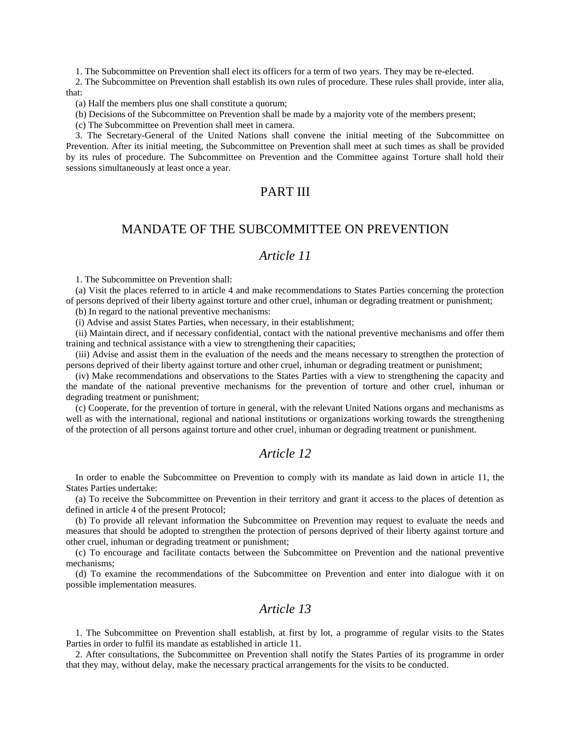1. The Subcommittee on Prevention shall elect its officers for a term of two years. They may be re-elected.

2. The Subcommittee on Prevention shall establish its own rules of procedure. These rules shall provide, inter alia, that:

(a) Half the members plus one shall constitute a quorum;

(b) Decisions of the Subcommittee on Prevention shall be made by a majority vote of the members present;

(c) The Subcommittee on Prevention shall meet in camera.

3. The Secretary-General of the United Nations shall convene the initial meeting of the Subcommittee on Prevention. After its initial meeting, the Subcommittee on Prevention shall meet at such times as shall be provided by its rules of procedure. The Subcommittee on Prevention and the Committee against Torture shall hold their sessions simultaneously at least once a year.

# PART III

#### MANDATE OF THE SUBCOMMITTEE ON PREVENTION

### *Article 11*

1. The Subcommittee on Prevention shall:

(a) Visit the places referred to in article 4 and make recommendations to States Parties concerning the protection of persons deprived of their liberty against torture and other cruel, inhuman or degrading treatment or punishment;

(b) In regard to the national preventive mechanisms:

(i) Advise and assist States Parties, when necessary, in their establishment;

(ii) Maintain direct, and if necessary confidential, contact with the national preventive mechanisms and offer them training and technical assistance with a view to strengthening their capacities;

(iii) Advise and assist them in the evaluation of the needs and the means necessary to strengthen the protection of persons deprived of their liberty against torture and other cruel, inhuman or degrading treatment or punishment;

(iv) Make recommendations and observations to the States Parties with a view to strengthening the capacity and the mandate of the national preventive mechanisms for the prevention of torture and other cruel, inhuman or degrading treatment or punishment;

(c) Cooperate, for the prevention of torture in general, with the relevant United Nations organs and mechanisms as well as with the international, regional and national institutions or organizations working towards the strengthening of the protection of all persons against torture and other cruel, inhuman or degrading treatment or punishment.

# *Article 12*

In order to enable the Subcommittee on Prevention to comply with its mandate as laid down in article 11, the States Parties undertake:

(a) To receive the Subcommittee on Prevention in their territory and grant it access to the places of detention as defined in article 4 of the present Protocol;

(b) To provide all relevant information the Subcommittee on Prevention may request to evaluate the needs and measures that should be adopted to strengthen the protection of persons deprived of their liberty against torture and other cruel, inhuman or degrading treatment or punishment;

(c) To encourage and facilitate contacts between the Subcommittee on Prevention and the national preventive mechanisms;

(d) To examine the recommendations of the Subcommittee on Prevention and enter into dialogue with it on possible implementation measures.

### *Article 13*

1. The Subcommittee on Prevention shall establish, at first by lot, a programme of regular visits to the States Parties in order to fulfil its mandate as established in article 11.

2. After consultations, the Subcommittee on Prevention shall notify the States Parties of its programme in order that they may, without delay, make the necessary practical arrangements for the visits to be conducted.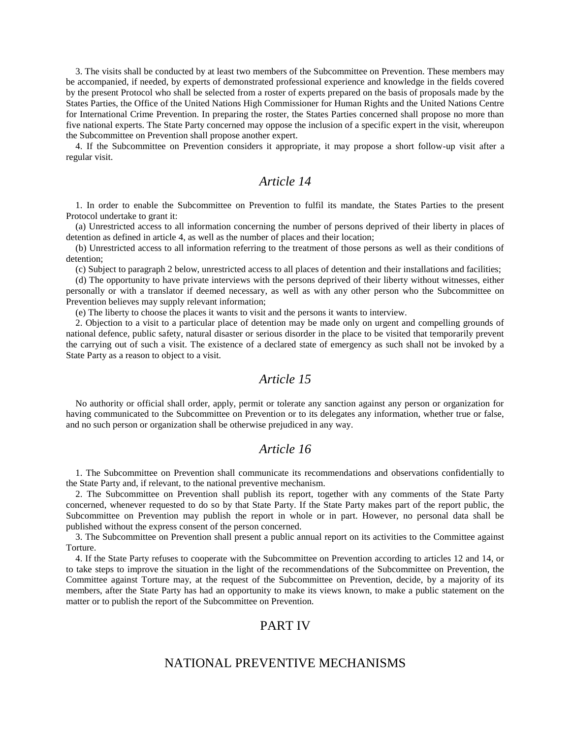3. The visits shall be conducted by at least two members of the Subcommittee on Prevention. These members may be accompanied, if needed, by experts of demonstrated professional experience and knowledge in the fields covered by the present Protocol who shall be selected from a roster of experts prepared on the basis of proposals made by the States Parties, the Office of the United Nations High Commissioner for Human Rights and the United Nations Centre for International Crime Prevention. In preparing the roster, the States Parties concerned shall propose no more than five national experts. The State Party concerned may oppose the inclusion of a specific expert in the visit, whereupon the Subcommittee on Prevention shall propose another expert.

4. If the Subcommittee on Prevention considers it appropriate, it may propose a short follow-up visit after a regular visit.

# *Article 14*

1. In order to enable the Subcommittee on Prevention to fulfil its mandate, the States Parties to the present Protocol undertake to grant it:

(a) Unrestricted access to all information concerning the number of persons deprived of their liberty in places of detention as defined in article 4, as well as the number of places and their location;

(b) Unrestricted access to all information referring to the treatment of those persons as well as their conditions of detention;

(c) Subject to paragraph 2 below, unrestricted access to all places of detention and their installations and facilities;

(d) The opportunity to have private interviews with the persons deprived of their liberty without witnesses, either personally or with a translator if deemed necessary, as well as with any other person who the Subcommittee on Prevention believes may supply relevant information;

(e) The liberty to choose the places it wants to visit and the persons it wants to interview.

2. Objection to a visit to a particular place of detention may be made only on urgent and compelling grounds of national defence, public safety, natural disaster or serious disorder in the place to be visited that temporarily prevent the carrying out of such a visit. The existence of a declared state of emergency as such shall not be invoked by a State Party as a reason to object to a visit.

## *Article 15*

No authority or official shall order, apply, permit or tolerate any sanction against any person or organization for having communicated to the Subcommittee on Prevention or to its delegates any information, whether true or false, and no such person or organization shall be otherwise prejudiced in any way.

#### *Article 16*

1. The Subcommittee on Prevention shall communicate its recommendations and observations confidentially to the State Party and, if relevant, to the national preventive mechanism.

2. The Subcommittee on Prevention shall publish its report, together with any comments of the State Party concerned, whenever requested to do so by that State Party. If the State Party makes part of the report public, the Subcommittee on Prevention may publish the report in whole or in part. However, no personal data shall be published without the express consent of the person concerned.

3. The Subcommittee on Prevention shall present a public annual report on its activities to the Committee against Torture.

4. If the State Party refuses to cooperate with the Subcommittee on Prevention according to articles 12 and 14, or to take steps to improve the situation in the light of the recommendations of the Subcommittee on Prevention, the Committee against Torture may, at the request of the Subcommittee on Prevention, decide, by a majority of its members, after the State Party has had an opportunity to make its views known, to make a public statement on the matter or to publish the report of the Subcommittee on Prevention.

# PART IV

# NATIONAL PREVENTIVE MECHANISMS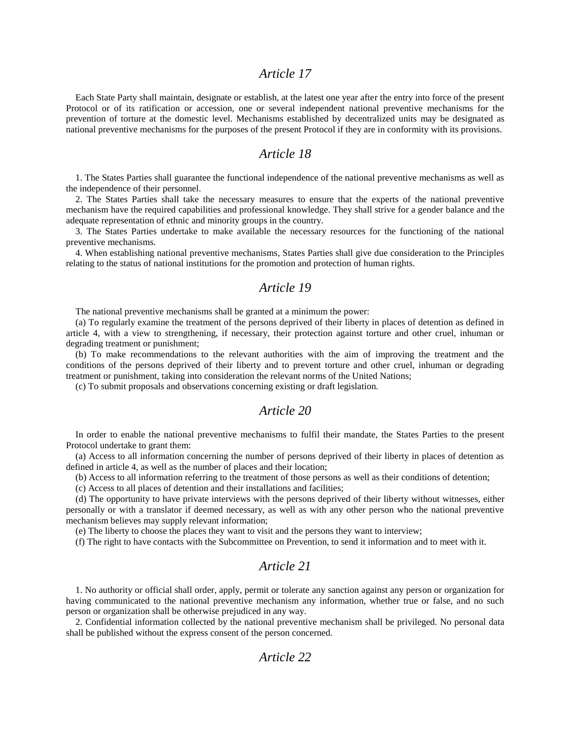#### *Article 17*

Each State Party shall maintain, designate or establish, at the latest one year after the entry into force of the present Protocol or of its ratification or accession, one or several independent national preventive mechanisms for the prevention of torture at the domestic level. Mechanisms established by decentralized units may be designated as national preventive mechanisms for the purposes of the present Protocol if they are in conformity with its provisions.

#### *Article 18*

1. The States Parties shall guarantee the functional independence of the national preventive mechanisms as well as the independence of their personnel.

2. The States Parties shall take the necessary measures to ensure that the experts of the national preventive mechanism have the required capabilities and professional knowledge. They shall strive for a gender balance and the adequate representation of ethnic and minority groups in the country.

3. The States Parties undertake to make available the necessary resources for the functioning of the national preventive mechanisms.

4. When establishing national preventive mechanisms, States Parties shall give due consideration to the Principles relating to the status of national institutions for the promotion and protection of human rights.

# *Article 19*

The national preventive mechanisms shall be granted at a minimum the power:

(a) To regularly examine the treatment of the persons deprived of their liberty in places of detention as defined in article 4, with a view to strengthening, if necessary, their protection against torture and other cruel, inhuman or degrading treatment or punishment;

(b) To make recommendations to the relevant authorities with the aim of improving the treatment and the conditions of the persons deprived of their liberty and to prevent torture and other cruel, inhuman or degrading treatment or punishment, taking into consideration the relevant norms of the United Nations;

(c) To submit proposals and observations concerning existing or draft legislation.

#### *Article 20*

In order to enable the national preventive mechanisms to fulfil their mandate, the States Parties to the present Protocol undertake to grant them:

(a) Access to all information concerning the number of persons deprived of their liberty in places of detention as defined in article 4, as well as the number of places and their location;

(b) Access to all information referring to the treatment of those persons as well as their conditions of detention;

(c) Access to all places of detention and their installations and facilities;

(d) The opportunity to have private interviews with the persons deprived of their liberty without witnesses, either personally or with a translator if deemed necessary, as well as with any other person who the national preventive mechanism believes may supply relevant information;

(e) The liberty to choose the places they want to visit and the persons they want to interview;

(f) The right to have contacts with the Subcommittee on Prevention, to send it information and to meet with it.

## *Article 21*

1. No authority or official shall order, apply, permit or tolerate any sanction against any person or organization for having communicated to the national preventive mechanism any information, whether true or false, and no such person or organization shall be otherwise prejudiced in any way.

2. Confidential information collected by the national preventive mechanism shall be privileged. No personal data shall be published without the express consent of the person concerned.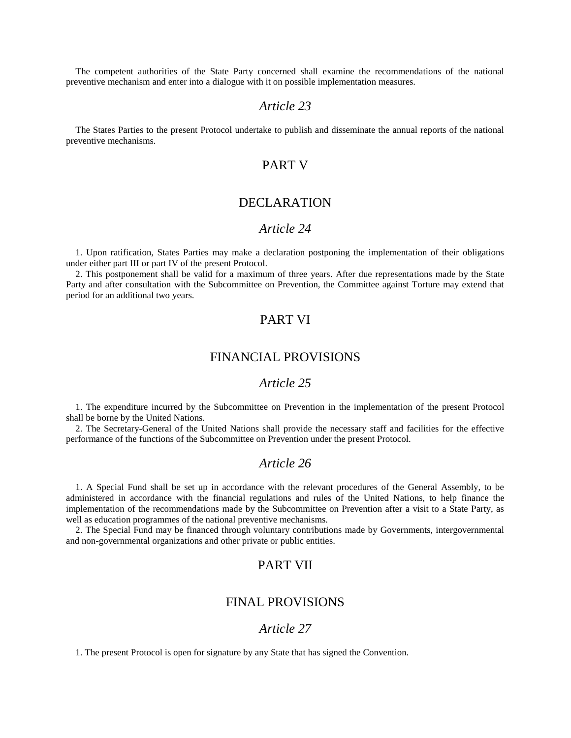The competent authorities of the State Party concerned shall examine the recommendations of the national preventive mechanism and enter into a dialogue with it on possible implementation measures.

### *Article 23*

The States Parties to the present Protocol undertake to publish and disseminate the annual reports of the national preventive mechanisms.

# PART V

#### DECLARATION

### *Article 24*

1. Upon ratification, States Parties may make a declaration postponing the implementation of their obligations under either part III or part IV of the present Protocol.

2. This postponement shall be valid for a maximum of three years. After due representations made by the State Party and after consultation with the Subcommittee on Prevention, the Committee against Torture may extend that period for an additional two years.

# PART VI

## FINANCIAL PROVISIONS

#### *Article 25*

1. The expenditure incurred by the Subcommittee on Prevention in the implementation of the present Protocol shall be borne by the United Nations.

2. The Secretary-General of the United Nations shall provide the necessary staff and facilities for the effective performance of the functions of the Subcommittee on Prevention under the present Protocol.

# *Article 26*

1. A Special Fund shall be set up in accordance with the relevant procedures of the General Assembly, to be administered in accordance with the financial regulations and rules of the United Nations, to help finance the implementation of the recommendations made by the Subcommittee on Prevention after a visit to a State Party, as well as education programmes of the national preventive mechanisms.

2. The Special Fund may be financed through voluntary contributions made by Governments, intergovernmental and non-governmental organizations and other private or public entities.

# PART VII

#### FINAL PROVISIONS

#### *Article 27*

1. The present Protocol is open for signature by any State that has signed the Convention.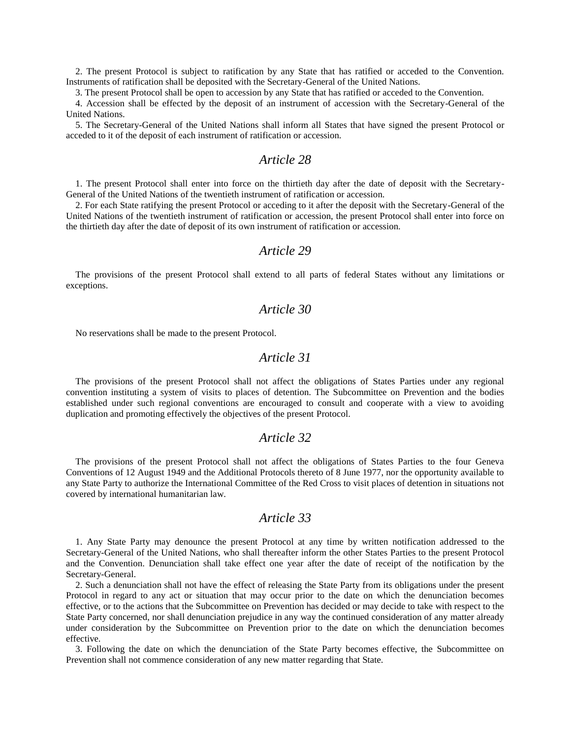2. The present Protocol is subject to ratification by any State that has ratified or acceded to the Convention. Instruments of ratification shall be deposited with the Secretary-General of the United Nations.

3. The present Protocol shall be open to accession by any State that has ratified or acceded to the Convention.

4. Accession shall be effected by the deposit of an instrument of accession with the Secretary-General of the United Nations.

5. The Secretary-General of the United Nations shall inform all States that have signed the present Protocol or acceded to it of the deposit of each instrument of ratification or accession.

# *Article 28*

1. The present Protocol shall enter into force on the thirtieth day after the date of deposit with the Secretary-General of the United Nations of the twentieth instrument of ratification or accession.

2. For each State ratifying the present Protocol or acceding to it after the deposit with the Secretary-General of the United Nations of the twentieth instrument of ratification or accession, the present Protocol shall enter into force on the thirtieth day after the date of deposit of its own instrument of ratification or accession.

#### *Article 29*

The provisions of the present Protocol shall extend to all parts of federal States without any limitations or exceptions.

# *Article 30*

No reservations shall be made to the present Protocol.

# *Article 31*

The provisions of the present Protocol shall not affect the obligations of States Parties under any regional convention instituting a system of visits to places of detention. The Subcommittee on Prevention and the bodies established under such regional conventions are encouraged to consult and cooperate with a view to avoiding duplication and promoting effectively the objectives of the present Protocol.

# *Article 32*

The provisions of the present Protocol shall not affect the obligations of States Parties to the four Geneva Conventions of 12 August 1949 and the Additional Protocols thereto of 8 June 1977, nor the opportunity available to any State Party to authorize the International Committee of the Red Cross to visit places of detention in situations not covered by international humanitarian law.

#### *Article 33*

1. Any State Party may denounce the present Protocol at any time by written notification addressed to the Secretary-General of the United Nations, who shall thereafter inform the other States Parties to the present Protocol and the Convention. Denunciation shall take effect one year after the date of receipt of the notification by the Secretary-General.

2. Such a denunciation shall not have the effect of releasing the State Party from its obligations under the present Protocol in regard to any act or situation that may occur prior to the date on which the denunciation becomes effective, or to the actions that the Subcommittee on Prevention has decided or may decide to take with respect to the State Party concerned, nor shall denunciation prejudice in any way the continued consideration of any matter already under consideration by the Subcommittee on Prevention prior to the date on which the denunciation becomes effective.

3. Following the date on which the denunciation of the State Party becomes effective, the Subcommittee on Prevention shall not commence consideration of any new matter regarding that State.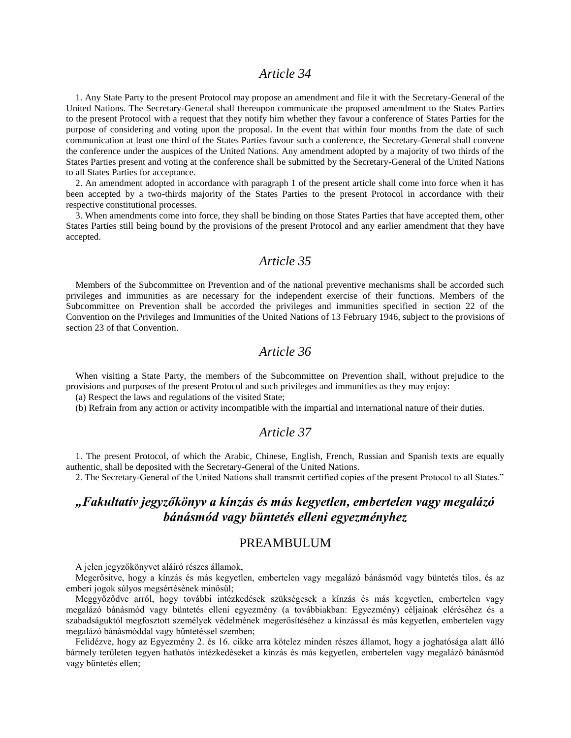### *Article 34*

1. Any State Party to the present Protocol may propose an amendment and file it with the Secretary-General of the United Nations. The Secretary-General shall thereupon communicate the proposed amendment to the States Parties to the present Protocol with a request that they notify him whether they favour a conference of States Parties for the purpose of considering and voting upon the proposal. In the event that within four months from the date of such communication at least one third of the States Parties favour such a conference, the Secretary-General shall convene the conference under the auspices of the United Nations. Any amendment adopted by a majority of two thirds of the States Parties present and voting at the conference shall be submitted by the Secretary-General of the United Nations to all States Parties for acceptance.

2. An amendment adopted in accordance with paragraph 1 of the present article shall come into force when it has been accepted by a two-thirds majority of the States Parties to the present Protocol in accordance with their respective constitutional processes.

3. When amendments come into force, they shall be binding on those States Parties that have accepted them, other States Parties still being bound by the provisions of the present Protocol and any earlier amendment that they have accepted.

# *Article 35*

Members of the Subcommittee on Prevention and of the national preventive mechanisms shall be accorded such privileges and immunities as are necessary for the independent exercise of their functions. Members of the Subcommittee on Prevention shall be accorded the privileges and immunities specified in section 22 of the Convention on the Privileges and Immunities of the United Nations of 13 February 1946, subject to the provisions of section 23 of that Convention.

# *Article 36*

When visiting a State Party, the members of the Subcommittee on Prevention shall, without prejudice to the provisions and purposes of the present Protocol and such privileges and immunities as they may enjoy:

(a) Respect the laws and regulations of the visited State;

(b) Refrain from any action or activity incompatible with the impartial and international nature of their duties.

# *Article 37*

1. The present Protocol, of which the Arabic, Chinese, English, French, Russian and Spanish texts are equally authentic, shall be deposited with the Secretary-General of the United Nations.

2. The Secretary-General of the United Nations shall transmit certified copies of the present Protocol to all States."

# *"Fakultatív jegyzőkönyv a kínzás és más kegyetlen, embertelen vagy megalázó bánásmód vagy büntetés elleni egyezményhez*

#### **PREAMBULUM**

A jelen jegyzőkönyvet aláíró részes államok,

Megerősítve, hogy a kínzás és más kegyetlen, embertelen vagy megalázó bánásmód vagy büntetés tilos, és az emberi jogok súlyos megsértésének minősül;

Meggyőződve arról, hogy további intézkedések szükségesek a kínzás és más kegyetlen, embertelen vagy megalázó bánásmód vagy büntetés elleni egyezmény (a továbbiakban: Egyezmény) céljainak eléréséhez és a szabadságuktól megfosztott személyek védelmének megerősítéséhez a kínzással és más kegyetlen, embertelen vagy megalázó bánásmóddal vagy büntetéssel szemben;

Felidézve, hogy az Egyezmény 2. és 16. cikke arra kötelez minden részes államot, hogy a joghatósága alatt álló bármely területen tegyen hathatós intézkedéseket a kínzás és más kegyetlen, embertelen vagy megalázó bánásmód vagy büntetés ellen;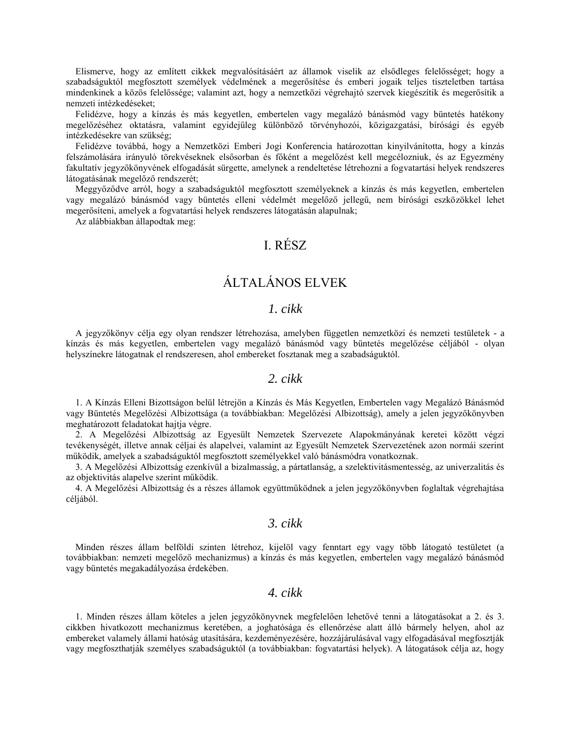Elismerve, hogy az említett cikkek megvalósításáért az államok viselik az elsődleges felelősséget; hogy a szabadságuktól megfosztott személyek védelmének a megerősítése és emberi jogaik teljes tiszteletben tartása mindenkinek a közös felelőssége; valamint azt, hogy a nemzetközi végrehajtó szervek kiegészítik és megerősítik a nemzeti intézkedéseket;

Felidézve, hogy a kínzás és más kegyetlen, embertelen vagy megalázó bánásmód vagy büntetés hatékony megelőzéséhez oktatásra, valamint egyidejűleg különböző törvényhozói, közigazgatási, bírósági és egyéb intézkedésekre van szükség;

Felidézve továbbá, hogy a Nemzetközi Emberi Jogi Konferencia határozottan kinyilvánította, hogy a kínzás felszámolására irányuló törekvéseknek elsősorban és főként a megelőzést kell megcélozniuk, és az Egyezmény fakultatív jegyzőkönyvének elfogadását sürgette, amelynek a rendeltetése létrehozni a fogvatartási helyek rendszeres látogatásának megelőző rendszerét;

Meggyőződve arról, hogy a szabadságuktól megfosztott személyeknek a kínzás és más kegyetlen, embertelen vagy megalázó bánásmód vagy büntetés elleni védelmét megelőző jellegű, nem bírósági eszközökkel lehet megerősíteni, amelyek a fogvatartási helyek rendszeres látogatásán alapulnak;

Az alábbiakban állapodtak meg:

# I. RÉSZ

# ÁLTALÁNOS ELVEK

# *1. cikk*

A jegyzőkönyv célja egy olyan rendszer létrehozása, amelyben független nemzetközi és nemzeti testületek - a kínzás és más kegyetlen, embertelen vagy megalázó bánásmód vagy büntetés megelőzése céljából - olyan helyszínekre látogatnak el rendszeresen, ahol embereket fosztanak meg a szabadságuktól.

#### *2. cikk*

1. A Kínzás Elleni Bizottságon belül létrejön a Kínzás és Más Kegyetlen, Embertelen vagy Megalázó Bánásmód vagy Büntetés Megelőzési Albizottsága (a továbbiakban: Megelőzési Albizottság), amely a jelen jegyzőkönyvben meghatározott feladatokat hajtja végre.

2. A Megelőzési Albizottság az Egyesült Nemzetek Szervezete Alapokmányának keretei között végzi tevékenységét, illetve annak céljai és alapelvei, valamint az Egyesült Nemzetek Szervezetének azon normái szerint működik, amelyek a szabadságuktól megfosztott személyekkel való bánásmódra vonatkoznak.

3. A Megelőzési Albizottság ezenkívül a bizalmasság, a pártatlanság, a szelektivitásmentesség, az univerzalitás és az objektivitás alapelve szerint működik.

4. A Megelőzési Albizottság és a részes államok együttműködnek a jelen jegyzőkönyvben foglaltak végrehajtása céljából.

#### *3. cikk*

Minden részes állam belföldi szinten létrehoz, kijelöl vagy fenntart egy vagy több látogató testületet (a továbbiakban: nemzeti megelőző mechanizmus) a kínzás és más kegyetlen, embertelen vagy megalázó bánásmód vagy büntetés megakadályozása érdekében.

### *4. cikk*

1. Minden részes állam köteles a jelen jegyzőkönyvnek megfelelően lehetővé tenni a látogatásokat a 2. és 3. cikkben hivatkozott mechanizmus keretében, a joghatósága és ellenőrzése alatt álló bármely helyen, ahol az embereket valamely állami hatóság utasítására, kezdeményezésére, hozzájárulásával vagy elfogadásával megfosztják vagy megfoszthatják személyes szabadságuktól (a továbbiakban: fogvatartási helyek). A látogatások célja az, hogy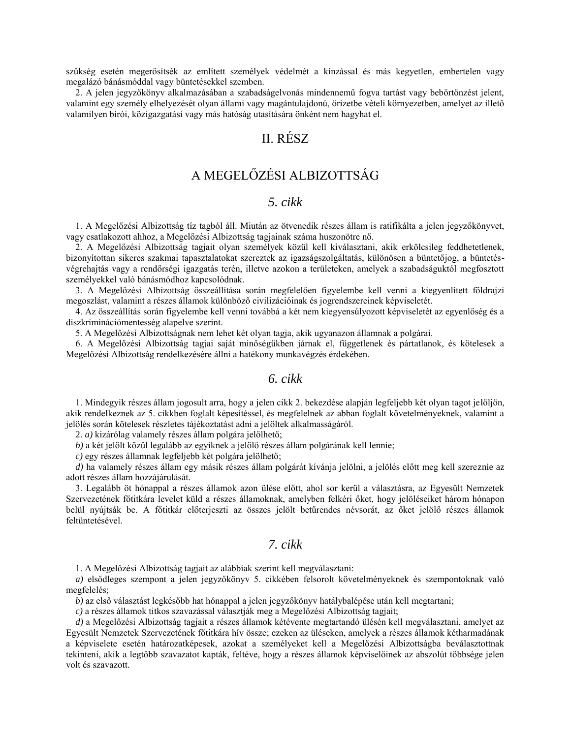szükség esetén megerősítsék az említett személyek védelmét a kínzással és más kegyetlen, embertelen vagy megalázó bánásmóddal vagy büntetésekkel szemben.

2. A jelen jegyzőkönyv alkalmazásában a szabadságelvonás mindennemű fogva tartást vagy bebörtönzést jelent, valamint egy személy elhelyezését olyan állami vagy magántulajdonú, őrizetbe vételi környezetben, amelyet az illető valamilyen bírói, közigazgatási vagy más hatóság utasítására önként nem hagyhat el.

# II. RÉSZ

# A MEGELŐZÉSI ALBIZOTTSÁG

# *5. cikk*

1. A Megelőzési Albizottság tíz tagból áll. Miután az ötvenedik részes állam is ratifikálta a jelen jegyzőkönyvet, vagy csatlakozott ahhoz, a Megelőzési Albizottság tagjainak száma huszonötre nő.

2. A Megelőzési Albizottság tagjait olyan személyek közül kell kiválasztani, akik erkölcsileg feddhetetlenek, bizonyítottan sikeres szakmai tapasztalatokat szereztek az igazságszolgáltatás, különösen a büntetőjog, a büntetésvégrehajtás vagy a rendőrségi igazgatás terén, illetve azokon a területeken, amelyek a szabadságuktól megfosztott személyekkel való bánásmódhoz kapcsolódnak.

3. A Megelőzési Albizottság összeállítása során megfelelően figyelembe kell venni a kiegyenlített földrajzi megoszlást, valamint a részes államok különböző civilizációinak és jogrendszereinek képviseletét.

4. Az összeállítás során figyelembe kell venni továbbá a két nem kiegyensúlyozott képviseletét az egyenlőség és a diszkriminációmentesség alapelve szerint.

5. A Megelőzési Albizottságnak nem lehet két olyan tagja, akik ugyanazon államnak a polgárai.

6. A Megelőzési Albizottság tagjai saját minőségükben járnak el, függetlenek és pártatlanok, és kötelesek a Megelőzési Albizottság rendelkezésére állni a hatékony munkavégzés érdekében.

#### *6. cikk*

1. Mindegyik részes állam jogosult arra, hogy a jelen cikk 2. bekezdése alapján legfeljebb két olyan tagot jelöljön, akik rendelkeznek az 5. cikkben foglalt képesítéssel, és megfelelnek az abban foglalt követelményeknek, valamint a jelölés során kötelesek részletes tájékoztatást adni a jelöltek alkalmasságáról.

2. *a)* kizárólag valamely részes állam polgára jelölhető;

*b)* a két jelölt közül legalább az egyiknek a jelölő részes állam polgárának kell lennie;

*c)* egy részes államnak legfeljebb két polgára jelölhető;

*d)* ha valamely részes állam egy másik részes állam polgárát kívánja jelölni, a jelölés előtt meg kell szereznie az adott részes állam hozzájárulását.

3. Legalább öt hónappal a részes államok azon ülése előtt, ahol sor kerül a választásra, az Egyesült Nemzetek Szervezetének főtitkára levelet küld a részes államoknak, amelyben felkéri őket, hogy jelöléseiket három hónapon belül nyújtsák be. A főtitkár előterjeszti az összes jelölt betűrendes névsorát, az őket jelölő részes államok feltüntetésével.

# *7. cikk*

1. A Megelőzési Albizottság tagjait az alábbiak szerint kell megválasztani:

*a)* elsődleges szempont a jelen jegyzőkönyv 5. cikkében felsorolt követelményeknek és szempontoknak való megfelelés;

*b)* az első választást legkésőbb hat hónappal a jelen jegyzőkönyv hatálybalépése után kell megtartani;

*c)* a részes államok titkos szavazással választják meg a Megelőzési Albizottság tagjait;

*d)* a Megelőzési Albizottság tagjait a részes államok kétévente megtartandó ülésén kell megválasztani, amelyet az Egyesült Nemzetek Szervezetének főtitkára hív össze; ezeken az üléseken, amelyek a részes államok kétharmadának a képviselete esetén határozatképesek, azokat a személyeket kell a Megelőzési Albizottságba beválasztottnak tekinteni, akik a legtöbb szavazatot kapták, feltéve, hogy a részes államok képviselőinek az abszolút többsége jelen volt és szavazott.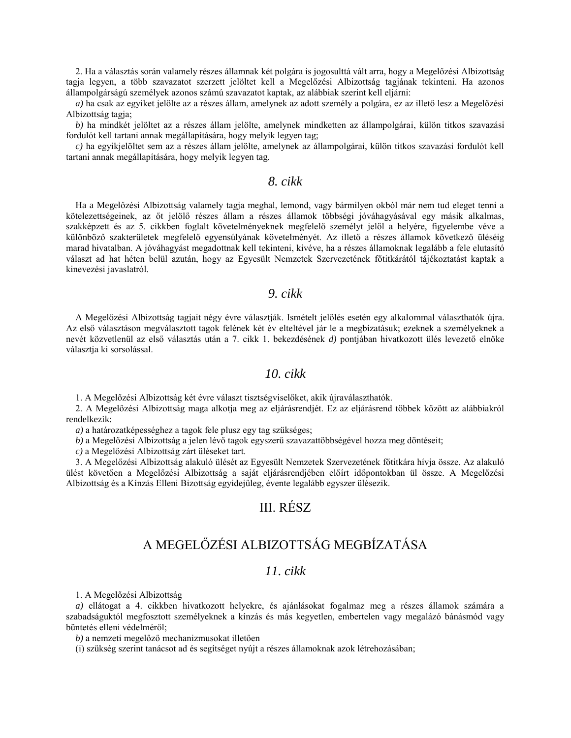2. Ha a választás során valamely részes államnak két polgára is jogosulttá vált arra, hogy a Megelőzési Albizottság tagja legyen, a több szavazatot szerzett jelöltet kell a Megelőzési Albizottság tagjának tekinteni. Ha azonos állampolgárságú személyek azonos számú szavazatot kaptak, az alábbiak szerint kell eljárni:

*a)* ha csak az egyiket jelölte az a részes állam, amelynek az adott személy a polgára, ez az illető lesz a Megelőzési Albizottság tagja;

*b)* ha mindkét jelöltet az a részes állam jelölte, amelynek mindketten az állampolgárai, külön titkos szavazási fordulót kell tartani annak megállapítására, hogy melyik legyen tag;

*c)* ha egyikjelöltet sem az a részes állam jelölte, amelynek az állampolgárai, külön titkos szavazási fordulót kell tartani annak megállapítására, hogy melyik legyen tag.

#### *8. cikk*

Ha a Megelőzési Albizottság valamely tagja meghal, lemond, vagy bármilyen okból már nem tud eleget tenni a kötelezettségeinek, az őt jelölő részes állam a részes államok többségi jóváhagyásával egy másik alkalmas, szakképzett és az 5. cikkben foglalt követelményeknek megfelelő személyt jelöl a helyére, figyelembe véve a különböző szakterületek megfelelő egyensúlyának követelményét. Az illető a részes államok következő üléséig marad hivatalban. A jóváhagyást megadottnak kell tekinteni, kivéve, ha a részes államoknak legalább a fele elutasító választ ad hat héten belül azután, hogy az Egyesült Nemzetek Szervezetének főtitkárától tájékoztatást kaptak a kinevezési javaslatról.

# *9. cikk*

A Megelőzési Albizottság tagjait négy évre választják. Ismételt jelölés esetén egy alkalommal választhatók újra. Az első választáson megválasztott tagok felének két év elteltével jár le a megbízatásuk; ezeknek a személyeknek a nevét közvetlenül az első választás után a 7. cikk 1. bekezdésének *d)* pontjában hivatkozott ülés levezető elnöke választja ki sorsolással.

#### *10. cikk*

1. A Megelőzési Albizottság két évre választ tisztségviselőket, akik újraválaszthatók.

2. A Megelőzési Albizottság maga alkotja meg az eljárásrendjét. Ez az eljárásrend többek között az alábbiakról rendelkezik:

*a)* a határozatképességhez a tagok fele plusz egy tag szükséges;

*b)* a Megelőzési Albizottság a jelen lévő tagok egyszerű szavazattöbbségével hozza meg döntéseit;

*c)* a Megelőzési Albizottság zárt üléseket tart.

3. A Megelőzési Albizottság alakuló ülését az Egyesült Nemzetek Szervezetének főtitkára hívja össze. Az alakuló ülést követően a Megelőzési Albizottság a saját eljárásrendjében előírt időpontokban ül össze. A Megelőzési Albizottság és a Kínzás Elleni Bizottság egyidejűleg, évente legalább egyszer ülésezik.

# III. RÉSZ

# A MEGELŐZÉSI ALBIZOTTSÁG MEGBÍZATÁSA

# *11. cikk*

1. A Megelőzési Albizottság

*a)* ellátogat a 4. cikkben hivatkozott helyekre, és ajánlásokat fogalmaz meg a részes államok számára a szabadságuktól megfosztott személyeknek a kínzás és más kegyetlen, embertelen vagy megalázó bánásmód vagy büntetés elleni védelméről;

*b)* a nemzeti megelőző mechanizmusokat illetően

(i) szükség szerint tanácsot ad és segítséget nyújt a részes államoknak azok létrehozásában;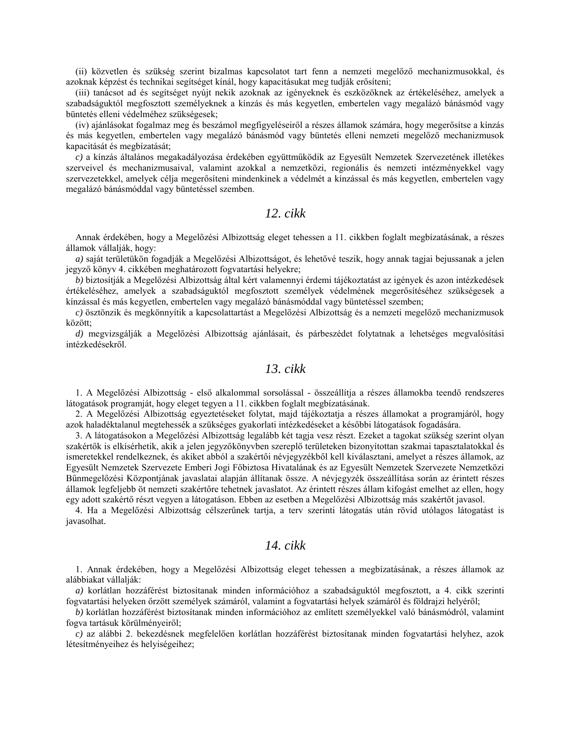(ii) közvetlen és szükség szerint bizalmas kapcsolatot tart fenn a nemzeti megelőző mechanizmusokkal, és azoknak képzést és technikai segítséget kínál, hogy kapacitásukat meg tudják erősíteni;

(iii) tanácsot ad és segítséget nyújt nekik azoknak az igényeknek és eszközöknek az értékeléséhez, amelyek a szabadságuktól megfosztott személyeknek a kínzás és más kegyetlen, embertelen vagy megalázó bánásmód vagy büntetés elleni védelméhez szükségesek;

(iv) ajánlásokat fogalmaz meg és beszámol megfigyeléseiről a részes államok számára, hogy megerősítse a kínzás és más kegyetlen, embertelen vagy megalázó bánásmód vagy büntetés elleni nemzeti megelőző mechanizmusok kapacitását és megbízatását;

*c)* a kínzás általános megakadályozása érdekében együttműködik az Egyesült Nemzetek Szervezetének illetékes szerveivel és mechanizmusaival, valamint azokkal a nemzetközi, regionális és nemzeti intézményekkel vagy szervezetekkel, amelyek célja megerősíteni mindenkinek a védelmét a kínzással és más kegyetlen, embertelen vagy megalázó bánásmóddal vagy büntetéssel szemben.

#### *12. cikk*

Annak érdekében, hogy a Megelőzési Albizottság eleget tehessen a 11. cikkben foglalt megbízatásának, a részes államok vállalják, hogy:

*a)* saját területükön fogadják a Megelőzési Albizottságot, és lehetővé teszik, hogy annak tagjai bejussanak a jelen jegyző könyv 4. cikkében meghatározott fogvatartási helyekre;

*b)* biztosítják a Megelőzési Albizottság által kért valamennyi érdemi tájékoztatást az igények és azon intézkedések értékeléséhez, amelyek a szabadságuktól megfosztott személyek védelmének megerősítéséhez szükségesek a kínzással és más kegyetlen, embertelen vagy megalázó bánásmóddal vagy büntetéssel szemben;

*c)* ösztönzik és megkönnyítik a kapcsolattartást a Megelőzési Albizottság és a nemzeti megelőző mechanizmusok között;

*d)* megvizsgálják a Megelőzési Albizottság ajánlásait, és párbeszédet folytatnak a lehetséges megvalósítási intézkedésekről.

#### *13. cikk*

1. A Megelőzési Albizottság - első alkalommal sorsolással - összeállítja a részes államokba teendő rendszeres látogatások programját, hogy eleget tegyen a 11. cikkben foglalt megbízatásának.

2. A Megelőzési Albizottság egyeztetéseket folytat, majd tájékoztatja a részes államokat a programjáról, hogy azok haladéktalanul megtehessék a szükséges gyakorlati intézkedéseket a későbbi látogatások fogadására.

3. A látogatásokon a Megelőzési Albizottság legalább két tagja vesz részt. Ezeket a tagokat szükség szerint olyan szakértők is elkísérhetik, akik a jelen jegyzőkönyvben szereplő területeken bizonyítottan szakmai tapasztalatokkal és ismeretekkel rendelkeznek, és akiket abból a szakértői névjegyzékből kell kiválasztani, amelyet a részes államok, az Egyesült Nemzetek Szervezete Emberi Jogi Főbiztosa Hivatalának és az Egyesült Nemzetek Szervezete Nemzetközi Bűnmegelőzési Központjának javaslatai alapján állítanak össze. A névjegyzék összeállítása során az érintett részes államok legfeljebb öt nemzeti szakértőre tehetnek javaslatot. Az érintett részes állam kifogást emelhet az ellen, hogy egy adott szakértő részt vegyen a látogatáson. Ebben az esetben a Megelőzési Albizottság más szakértőt javasol.

4. Ha a Megelőzési Albizottság célszerűnek tartja, a terv szerinti látogatás után rövid utólagos látogatást is javasolhat.

# *14. cikk*

1. Annak érdekében, hogy a Megelőzési Albizottság eleget tehessen a megbízatásának, a részes államok az alábbiakat vállalják:

*a)* korlátlan hozzáférést biztosítanak minden információhoz a szabadságuktól megfosztott, a 4. cikk szerinti fogvatartási helyeken őrzött személyek számáról, valamint a fogvatartási helyek számáról és földrajzi helyéről;

*b)* korlátlan hozzáférést biztosítanak minden információhoz az említett személyekkel való bánásmódról, valamint fogva tartásuk körülményeiről;

*c)* az alábbi 2. bekezdésnek megfelelően korlátlan hozzáférést biztosítanak minden fogvatartási helyhez, azok létesítményeihez és helyiségeihez;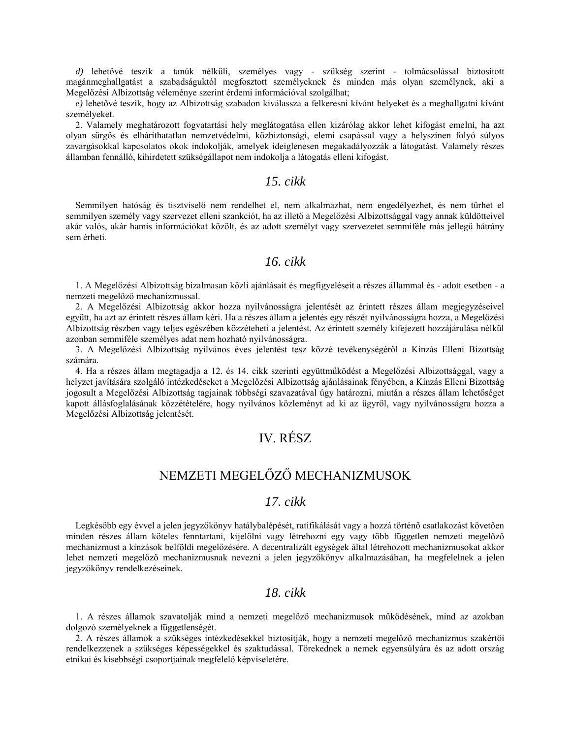*d)* lehetővé teszik a tanúk nélküli, személyes vagy - szükség szerint - tolmácsolással biztosított magánmeghallgatást a szabadságuktól megfosztott személyeknek és minden más olyan személynek, aki a Megelőzési Albizottság véleménye szerint érdemi információval szolgálhat;

*e)* lehetővé teszik, hogy az Albizottság szabadon kiválassza a felkeresni kívánt helyeket és a meghallgatni kívánt személyeket.

2. Valamely meghatározott fogvatartási hely meglátogatása ellen kizárólag akkor lehet kifogást emelni, ha azt olyan sürgős és elháríthatatlan nemzetvédelmi, közbiztonsági, elemi csapással vagy a helyszínen folyó súlyos zavargásokkal kapcsolatos okok indokolják, amelyek ideiglenesen megakadályozzák a látogatást. Valamely részes államban fennálló, kihirdetett szükségállapot nem indokolja a látogatás elleni kifogást.

### *15. cikk*

Semmilyen hatóság és tisztviselő nem rendelhet el, nem alkalmazhat, nem engedélyezhet, és nem tűrhet el semmilyen személy vagy szervezet elleni szankciót, ha az illető a Megelőzési Albizottsággal vagy annak küldötteivel akár valós, akár hamis információkat közölt, és az adott személyt vagy szervezetet semmiféle más jellegű hátrány sem érheti.

# *16. cikk*

1. A Megelőzési Albizottság bizalmasan közli ajánlásait és megfigyeléseit a részes állammal és - adott esetben - a nemzeti megelőző mechanizmussal.

2. A Megelőzési Albizottság akkor hozza nyilvánosságra jelentését az érintett részes állam megjegyzéseivel együtt, ha azt az érintett részes állam kéri. Ha a részes állam a jelentés egy részét nyilvánosságra hozza, a Megelőzési Albizottság részben vagy teljes egészében közzéteheti a jelentést. Az érintett személy kifejezett hozzájárulása nélkül azonban semmiféle személyes adat nem hozható nyilvánosságra.

3. A Megelőzési Albizottság nyilvános éves jelentést tesz közzé tevékenységéről a Kínzás Elleni Bizottság számára.

4. Ha a részes állam megtagadja a 12. és 14. cikk szerinti együttműködést a Megelőzési Albizottsággal, vagy a helyzet javítására szolgáló intézkedéseket a Megelőzési Albizottság ajánlásainak fényében, a Kínzás Elleni Bizottság jogosult a Megelőzési Albizottság tagjainak többségi szavazatával úgy határozni, miután a részes állam lehetőséget kapott állásfoglalásának közzétételére, hogy nyilvános közleményt ad ki az ügyről, vagy nyilvánosságra hozza a Megelőzési Albizottság jelentését.

# IV. RÉSZ

# NEMZETI MEGELŐZŐ MECHANIZMUSOK

# *17. cikk*

Legkésőbb egy évvel a jelen jegyzőkönyv hatálybalépését, ratifikálását vagy a hozzá történő csatlakozást követően minden részes állam köteles fenntartani, kijelölni vagy létrehozni egy vagy több független nemzeti megelőző mechanizmust a kínzások belföldi megelőzésére. A decentralizált egységek által létrehozott mechanizmusokat akkor lehet nemzeti megelőző mechanizmusnak nevezni a jelen jegyzőkönyv alkalmazásában, ha megfelelnek a jelen jegyzőkönyv rendelkezéseinek.

# *18. cikk*

1. A részes államok szavatolják mind a nemzeti megelőző mechanizmusok működésének, mind az azokban dolgozó személyeknek a függetlenségét.

2. A részes államok a szükséges intézkedésekkel biztosítják, hogy a nemzeti megelőző mechanizmus szakértői rendelkezzenek a szükséges képességekkel és szaktudással. Törekednek a nemek egyensúlyára és az adott ország etnikai és kisebbségi csoportjainak megfelelő képviseletére.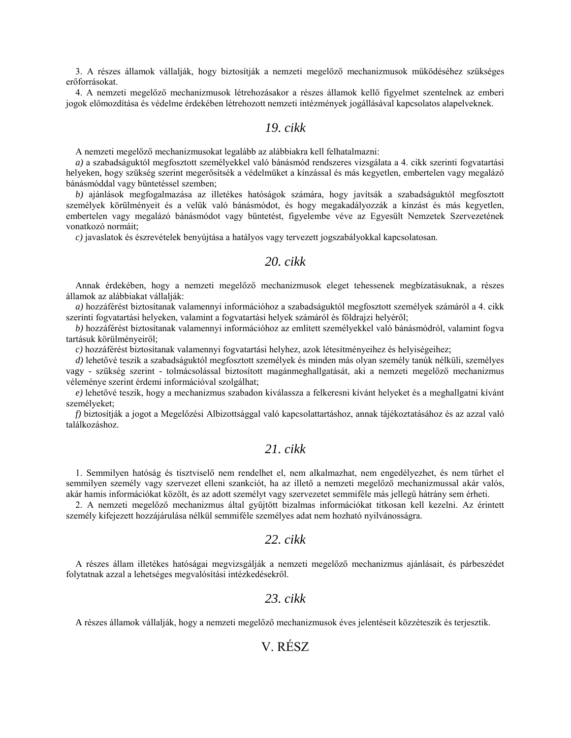3. A részes államok vállalják, hogy biztosítják a nemzeti megelőző mechanizmusok működéséhez szükséges erőforrásokat.

4. A nemzeti megelőző mechanizmusok létrehozásakor a részes államok kellő figyelmet szentelnek az emberi jogok előmozdítása és védelme érdekében létrehozott nemzeti intézmények jogállásával kapcsolatos alapelveknek.

#### *19. cikk*

A nemzeti megelőző mechanizmusokat legalább az alábbiakra kell felhatalmazni:

*a)* a szabadságuktól megfosztott személyekkel való bánásmód rendszeres vizsgálata a 4. cikk szerinti fogvatartási helyeken, hogy szükség szerint megerősítsék a védelmüket a kínzással és más kegyetlen, embertelen vagy megalázó bánásmóddal vagy büntetéssel szemben;

*b)* ajánlások megfogalmazása az illetékes hatóságok számára, hogy javítsák a szabadságuktól megfosztott személyek körülményeit és a velük való bánásmódot, és hogy megakadályozzák a kínzást és más kegyetlen, embertelen vagy megalázó bánásmódot vagy büntetést, figyelembe véve az Egyesült Nemzetek Szervezetének vonatkozó normáit;

*c)* javaslatok és észrevételek benyújtása a hatályos vagy tervezett jogszabályokkal kapcsolatosan.

#### *20. cikk*

Annak érdekében, hogy a nemzeti megelőző mechanizmusok eleget tehessenek megbízatásuknak, a részes államok az alábbiakat vállalják:

*a)* hozzáférést biztosítanak valamennyi információhoz a szabadságuktól megfosztott személyek számáról a 4. cikk szerinti fogvatartási helyeken, valamint a fogvatartási helyek számáról és földrajzi helyéről;

*b)* hozzáférést biztosítanak valamennyi információhoz az említett személyekkel való bánásmódról, valamint fogva tartásuk körülményeiről;

*c)* hozzáférést biztosítanak valamennyi fogvatartási helyhez, azok létesítményeihez és helyiségeihez;

*d)* lehetővé teszik a szabadságuktól megfosztott személyek és minden más olyan személy tanúk nélküli, személyes vagy - szükség szerint - tolmácsolással biztosított magánmeghallgatását, aki a nemzeti megelőző mechanizmus véleménye szerint érdemi információval szolgálhat;

*e)* lehetővé teszik, hogy a mechanizmus szabadon kiválassza a felkeresni kívánt helyeket és a meghallgatni kívánt személyeket;

*f)* biztosítják a jogot a Megelőzési Albizottsággal való kapcsolattartáshoz, annak tájékoztatásához és az azzal való találkozáshoz.

## *21. cikk*

1. Semmilyen hatóság és tisztviselő nem rendelhet el, nem alkalmazhat, nem engedélyezhet, és nem tűrhet el semmilyen személy vagy szervezet elleni szankciót, ha az illető a nemzeti megelőző mechanizmussal akár valós, akár hamis információkat közölt, és az adott személyt vagy szervezetet semmiféle más jellegű hátrány sem érheti.

2. A nemzeti megelőző mechanizmus által gyűjtött bizalmas információkat titkosan kell kezelni. Az érintett személy kifejezett hozzájárulása nélkül semmiféle személyes adat nem hozható nyilvánosságra.

# *22. cikk*

A részes állam illetékes hatóságai megvizsgálják a nemzeti megelőző mechanizmus ajánlásait, és párbeszédet folytatnak azzal a lehetséges megvalósítási intézkedésekről.

# *23. cikk*

A részes államok vállalják, hogy a nemzeti megelőző mechanizmusok éves jelentéseit közzéteszik és terjesztik.

# V. RÉSZ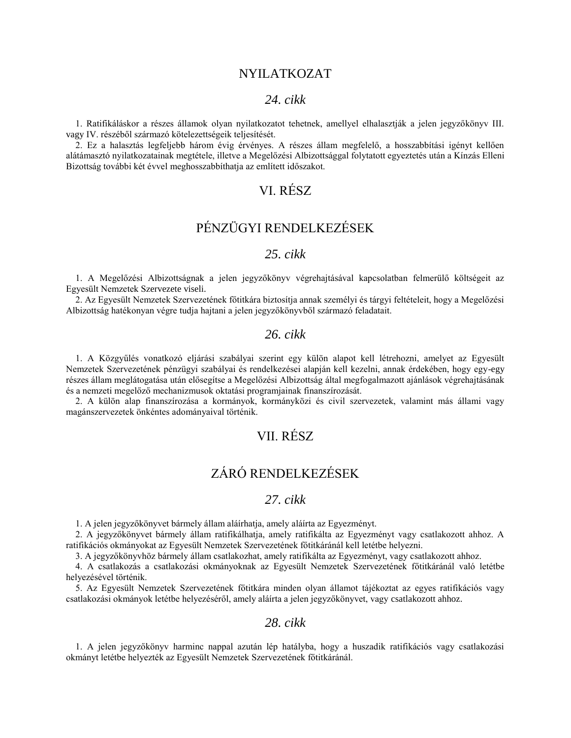### NYILATKOZAT

#### *24. cikk*

1. Ratifikáláskor a részes államok olyan nyilatkozatot tehetnek, amellyel elhalasztják a jelen jegyzőkönyv III. vagy IV. részéből származó kötelezettségeik teljesítését.

2. Ez a halasztás legfeljebb három évig érvényes. A részes állam megfelelő, a hosszabbítási igényt kellően alátámasztó nyilatkozatainak megtétele, illetve a Megelőzési Albizottsággal folytatott egyeztetés után a Kínzás Elleni Bizottság további két évvel meghosszabbíthatja az említett időszakot.

# VI. RÉSZ

# PÉNZÜGYI RENDELKEZÉSEK

# *25. cikk*

1. A Megelőzési Albizottságnak a jelen jegyzőkönyv végrehajtásával kapcsolatban felmerülő költségeit az Egyesült Nemzetek Szervezete viseli.

2. Az Egyesült Nemzetek Szervezetének főtitkára biztosítja annak személyi és tárgyi feltételeit, hogy a Megelőzési Albizottság hatékonyan végre tudja hajtani a jelen jegyzőkönyvből származó feladatait.

# *26. cikk*

1. A Közgyűlés vonatkozó eljárási szabályai szerint egy külön alapot kell létrehozni, amelyet az Egyesült Nemzetek Szervezetének pénzügyi szabályai és rendelkezései alapján kell kezelni, annak érdekében, hogy egy-egy részes állam meglátogatása után elősegítse a Megelőzési Albizottság által megfogalmazott ajánlások végrehajtásának és a nemzeti megelőző mechanizmusok oktatási programjainak finanszírozását.

2. A külön alap finanszírozása a kormányok, kormányközi és civil szervezetek, valamint más állami vagy magánszervezetek önkéntes adományaival történik.

# VII. RÉSZ

# ZÁRÓ RENDELKEZÉSEK

#### *27. cikk*

1. A jelen jegyzőkönyvet bármely állam aláírhatja, amely aláírta az Egyezményt.

2. A jegyzőkönyvet bármely állam ratifikálhatja, amely ratifikálta az Egyezményt vagy csatlakozott ahhoz. A ratifikációs okmányokat az Egyesült Nemzetek Szervezetének főtitkáránál kell letétbe helyezni.

3. A jegyzőkönyvhöz bármely állam csatlakozhat, amely ratifikálta az Egyezményt, vagy csatlakozott ahhoz.

4. A csatlakozás a csatlakozási okmányoknak az Egyesült Nemzetek Szervezetének főtitkáránál való letétbe helyezésével történik.

5. Az Egyesült Nemzetek Szervezetének főtitkára minden olyan államot tájékoztat az egyes ratifikációs vagy csatlakozási okmányok letétbe helyezéséről, amely aláírta a jelen jegyzőkönyvet, vagy csatlakozott ahhoz.

## *28. cikk*

1. A jelen jegyzőkönyv harminc nappal azután lép hatályba, hogy a huszadik ratifikációs vagy csatlakozási okmányt letétbe helyezték az Egyesült Nemzetek Szervezetének főtitkáránál.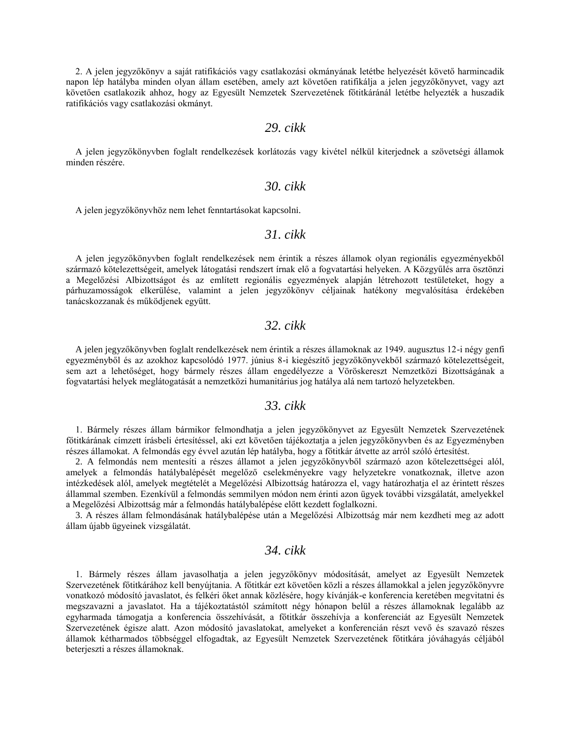2. A jelen jegyzőkönyv a saját ratifikációs vagy csatlakozási okmányának letétbe helyezését követő harmincadik napon lép hatályba minden olyan állam esetében, amely azt követően ratifikálja a jelen jegyzőkönyvet, vagy azt követően csatlakozik ahhoz, hogy az Egyesült Nemzetek Szervezetének főtitkáránál letétbe helyezték a huszadik ratifikációs vagy csatlakozási okmányt.

#### *29. cikk*

A jelen jegyzőkönyvben foglalt rendelkezések korlátozás vagy kivétel nélkül kiterjednek a szövetségi államok minden részére.

#### *30. cikk*

A jelen jegyzőkönyvhöz nem lehet fenntartásokat kapcsolni.

# *31. cikk*

A jelen jegyzőkönyvben foglalt rendelkezések nem érintik a részes államok olyan regionális egyezményekből származó kötelezettségeit, amelyek látogatási rendszert írnak elő a fogvatartási helyeken. A Közgyűlés arra ösztönzi a Megelőzési Albizottságot és az említett regionális egyezmények alapján létrehozott testületeket, hogy a párhuzamosságok elkerülése, valamint a jelen jegyzőkönyv céljainak hatékony megvalósítása érdekében tanácskozzanak és működjenek együtt.

# *32. cikk*

A jelen jegyzőkönyvben foglalt rendelkezések nem érintik a részes államoknak az 1949. augusztus 12-i négy genfi egyezményből és az azokhoz kapcsolódó 1977. június 8-i kiegészítő jegyzőkönyvekből származó kötelezettségeit, sem azt a lehetőséget, hogy bármely részes állam engedélyezze a Vöröskereszt Nemzetközi Bizottságának a fogvatartási helyek meglátogatását a nemzetközi humanitárius jog hatálya alá nem tartozó helyzetekben.

# *33. cikk*

1. Bármely részes állam bármikor felmondhatja a jelen jegyzőkönyvet az Egyesült Nemzetek Szervezetének főtitkárának címzett írásbeli értesítéssel, aki ezt követően tájékoztatja a jelen jegyzőkönyvben és az Egyezményben részes államokat. A felmondás egy évvel azután lép hatályba, hogy a főtitkár átvette az arról szóló értesítést.

2. A felmondás nem mentesíti a részes államot a jelen jegyzőkönyvből származó azon kötelezettségei alól, amelyek a felmondás hatálybalépését megelőző cselekményekre vagy helyzetekre vonatkoznak, illetve azon intézkedések alól, amelyek megtételét a Megelőzési Albizottság határozza el, vagy határozhatja el az érintett részes állammal szemben. Ezenkívül a felmondás semmilyen módon nem érinti azon ügyek további vizsgálatát, amelyekkel a Megelőzési Albizottság már a felmondás hatálybalépése előtt kezdett foglalkozni.

3. A részes állam felmondásának hatálybalépése után a Megelőzési Albizottság már nem kezdheti meg az adott állam újabb ügyeinek vizsgálatát.

# *34. cikk*

1. Bármely részes állam javasolhatja a jelen jegyzőkönyv módosítását, amelyet az Egyesült Nemzetek Szervezetének főtitkárához kell benyújtania. A főtitkár ezt követően közli a részes államokkal a jelen jegyzőkönyvre vonatkozó módosító javaslatot, és felkéri őket annak közlésére, hogy kívánják-e konferencia keretében megvitatni és megszavazni a javaslatot. Ha a tájékoztatástól számított négy hónapon belül a részes államoknak legalább az egyharmada támogatja a konferencia összehívását, a főtitkár összehívja a konferenciát az Egyesült Nemzetek Szervezetének égisze alatt. Azon módosító javaslatokat, amelyeket a konferencián részt vevő és szavazó részes államok kétharmados többséggel elfogadtak, az Egyesült Nemzetek Szervezetének főtitkára jóváhagyás céljából beterjeszti a részes államoknak.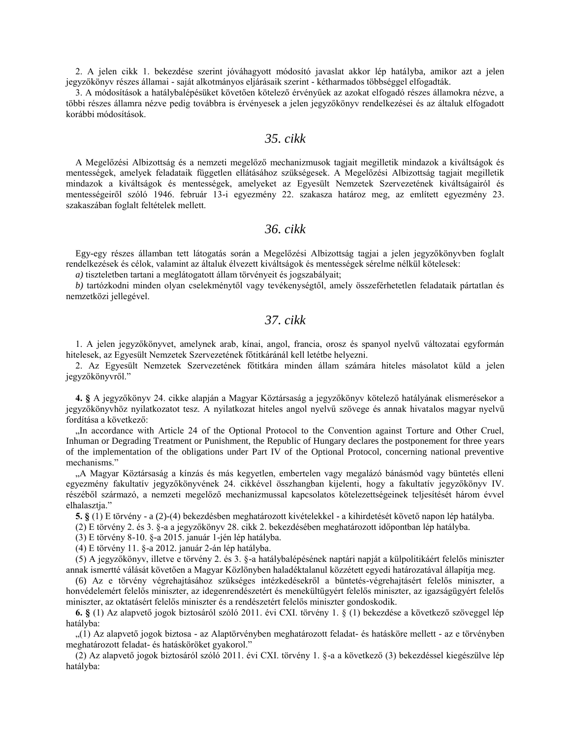2. A jelen cikk 1. bekezdése szerint jóváhagyott módosító javaslat akkor lép hatályba, amikor azt a jelen jegyzőkönyv részes államai - saját alkotmányos eljárásaik szerint - kétharmados többséggel elfogadták.

3. A módosítások a hatálybalépésüket követően kötelező érvényűek az azokat elfogadó részes államokra nézve, a többi részes államra nézve pedig továbbra is érvényesek a jelen jegyzőkönyv rendelkezései és az általuk elfogadott korábbi módosítások.

#### *35. cikk*

A Megelőzési Albizottság és a nemzeti megelőző mechanizmusok tagjait megilletik mindazok a kiváltságok és mentességek, amelyek feladataik független ellátásához szükségesek. A Megelőzési Albizottság tagjait megilletik mindazok a kiváltságok és mentességek, amelyeket az Egyesült Nemzetek Szervezetének kiváltságairól és mentességeiről szóló 1946. február 13-i egyezmény 22. szakasza határoz meg, az említett egyezmény 23. szakaszában foglalt feltételek mellett.

# *36. cikk*

Egy-egy részes államban tett látogatás során a Megelőzési Albizottság tagjai a jelen jegyzőkönyvben foglalt rendelkezések és célok, valamint az általuk élvezett kiváltságok és mentességek sérelme nélkül kötelesek:

*a)* tiszteletben tartani a meglátogatott állam törvényeit és jogszabályait;

*b)* tartózkodni minden olyan cselekménytől vagy tevékenységtől, amely összeférhetetlen feladataik pártatlan és nemzetközi jellegével.

# *37. cikk*

1. A jelen jegyzőkönyvet, amelynek arab, kínai, angol, francia, orosz és spanyol nyelvű változatai egyformán hitelesek, az Egyesült Nemzetek Szervezetének főtitkáránál kell letétbe helyezni.

2. Az Egyesült Nemzetek Szervezetének főtitkára minden állam számára hiteles másolatot küld a jelen jegyzőkönyvről."

**4. §** A jegyzőkönyv 24. cikke alapján a Magyar Köztársaság a jegyzőkönyv kötelező hatályának elismerésekor a jegyzőkönyvhöz nyilatkozatot tesz. A nyilatkozat hiteles angol nyelvű szövege és annak hivatalos magyar nyelvű fordítása a következő:

"In accordance with Article 24 of the Optional Protocol to the Convention against Torture and Other Cruel, Inhuman or Degrading Treatment or Punishment, the Republic of Hungary declares the postponement for three years of the implementation of the obligations under Part IV of the Optional Protocol, concerning national preventive mechanisms."

"A Magyar Köztársaság a kínzás és más kegyetlen, embertelen vagy megalázó bánásmód vagy büntetés elleni egyezmény fakultatív jegyzőkönyvének 24. cikkével összhangban kijelenti, hogy a fakultatív jegyzőkönyv IV. részéből származó, a nemzeti megelőző mechanizmussal kapcsolatos kötelezettségeinek teljesítését három évvel elhalasztja."

**5. §** (1) E törvény - a (2)-(4) bekezdésben meghatározott kivételekkel - a kihirdetését követő napon lép hatályba.

(2) E törvény 2. és 3. §-a a jegyzőkönyv 28. cikk 2. bekezdésében meghatározott időpontban lép hatályba.

(3) E törvény 8-10. §-a 2015. január 1-jén lép hatályba.

(4) E törvény 11. §-a 2012. január 2-án lép hatályba.

(5) A jegyzőkönyv, illetve e törvény 2. és 3. §-a hatálybalépésének naptári napját a külpolitikáért felelős miniszter annak ismertté válását követően a Magyar Közlönyben haladéktalanul közzétett egyedi határozatával állapítja meg.

(6) Az e törvény végrehajtásához szükséges intézkedésekről a büntetés-végrehajtásért felelős miniszter, a honvédelemért felelős miniszter, az idegenrendészetért és menekültügyért felelős miniszter, az igazságügyért felelős miniszter, az oktatásért felelős miniszter és a rendészetért felelős miniszter gondoskodik.

**6. §** (1) Az alapvető jogok biztosáról szóló 2011. évi CXI. törvény 1. § (1) bekezdése a következő szöveggel lép hatályba:

"(1) Az alapvető jogok biztosa - az Alaptörvényben meghatározott feladat- és hatásköre mellett - az e törvényben meghatározott feladat- és hatásköröket gyakorol."

(2) Az alapvető jogok biztosáról szóló 2011. évi CXI. törvény 1. §-a a következő (3) bekezdéssel kiegészülve lép hatályba: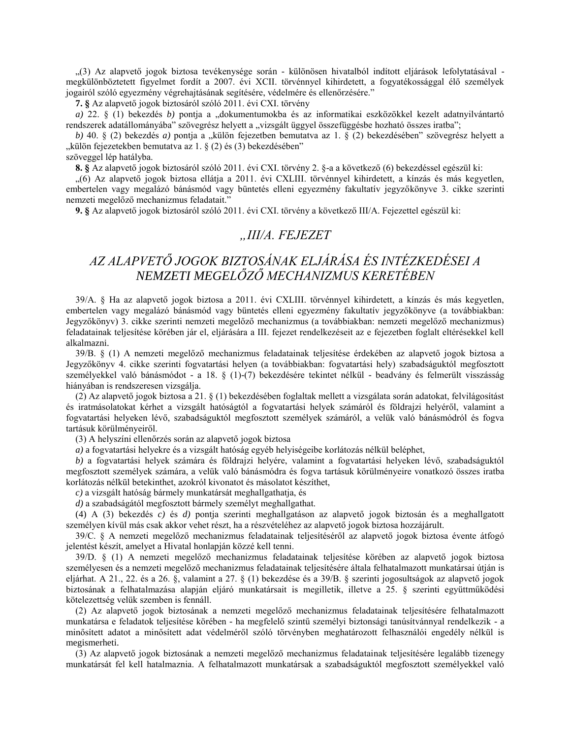"(3) Az alapvető jogok biztosa tevékenysége során - különösen hivatalból indított eljárások lefolytatásával megkülönböztetett figyelmet fordít a 2007. évi XCII. törvénnyel kihirdetett, a fogyatékossággal élő személyek jogairól szóló egyezmény végrehajtásának segítésére, védelmére és ellenőrzésére."

**7. §** Az alapvető jogok biztosáról szóló 2011. évi CXI. törvény

*a)* 22. § (1) bekezdés *b)* pontja a "dokumentumokba és az informatikai eszközökkel kezelt adatnyilvántartó rendszerek adatállományába" szövegrész helyett a "vizsgált üggyel összefüggésbe hozható összes iratba";

*b)* 40. § (2) bekezdés *a)* pontja a "külön fejezetben bemutatva az 1. § (2) bekezdésében" szövegrész helyett a "külön fejezetekben bemutatva az 1.  $\S$  (2) és (3) bekezdésében" szöveggel lép hatályba.

**8. §** Az alapvető jogok biztosáról szóló 2011. évi CXI. törvény 2. §-a a következő (6) bekezdéssel egészül ki:

"(6) Az alapvető jogok biztosa ellátja a 2011. évi CXLIII. törvénnyel kihirdetett, a kínzás és más kegyetlen, embertelen vagy megalázó bánásmód vagy büntetés elleni egyezmény fakultatív jegyzőkönyve 3. cikke szerinti nemzeti megelőző mechanizmus feladatait."

**9. §** Az alapvető jogok biztosáról szóló 2011. évi CXI. törvény a következő III/A. Fejezettel egészül ki:

## *"III/A. FEJEZET*

# *AZ ALAPVETŐ JOGOK BIZTOSÁNAK ELJÁRÁSA ÉS INTÉZKEDÉSEI A NEMZETI MEGELŐZŐ MECHANIZMUS KERETÉBEN*

39/A. § Ha az alapvető jogok biztosa a 2011. évi CXLIII. törvénnyel kihirdetett, a kínzás és más kegyetlen, embertelen vagy megalázó bánásmód vagy büntetés elleni egyezmény fakultatív jegyzőkönyve (a továbbiakban: Jegyzőkönyv) 3. cikke szerinti nemzeti megelőző mechanizmus (a továbbiakban: nemzeti megelőző mechanizmus) feladatainak teljesítése körében jár el, eljárására a III. fejezet rendelkezéseit az e fejezetben foglalt eltérésekkel kell alkalmazni.

39/B. § (1) A nemzeti megelőző mechanizmus feladatainak teljesítése érdekében az alapvető jogok biztosa a Jegyzőkönyv 4. cikke szerinti fogvatartási helyen (a továbbiakban: fogvatartási hely) szabadságuktól megfosztott személyekkel való bánásmódot - a 18. § (1)-(7) bekezdésére tekintet nélkül - beadvány és felmerült visszásság hiányában is rendszeresen vizsgálja.

(2) Az alapvető jogok biztosa a 21. § (1) bekezdésében foglaltak mellett a vizsgálata során adatokat, felvilágosítást és iratmásolatokat kérhet a vizsgált hatóságtól a fogvatartási helyek számáról és földrajzi helyéről, valamint a fogvatartási helyeken lévő, szabadságuktól megfosztott személyek számáról, a velük való bánásmódról és fogva tartásuk körülményeiről.

(3) A helyszíni ellenőrzés során az alapvető jogok biztosa

*a)* a fogvatartási helyekre és a vizsgált hatóság egyéb helyiségeibe korlátozás nélkül beléphet,

*b)* a fogvatartási helyek számára és földrajzi helyére, valamint a fogvatartási helyeken lévő, szabadságuktól megfosztott személyek számára, a velük való bánásmódra és fogva tartásuk körülményeire vonatkozó összes iratba korlátozás nélkül betekinthet, azokról kivonatot és másolatot készíthet,

*c)* a vizsgált hatóság bármely munkatársát meghallgathatja, és

*d)* a szabadságától megfosztott bármely személyt meghallgathat.

(4) A (3) bekezdés *c)* és *d)* pontja szerinti meghallgatáson az alapvető jogok biztosán és a meghallgatott személyen kívül más csak akkor vehet részt, ha a részvételéhez az alapvető jogok biztosa hozzájárult.

39/C. § A nemzeti megelőző mechanizmus feladatainak teljesítéséről az alapvető jogok biztosa évente átfogó jelentést készít, amelyet a Hivatal honlapján közzé kell tenni.

39/D. § (1) A nemzeti megelőző mechanizmus feladatainak teljesítése körében az alapvető jogok biztosa személyesen és a nemzeti megelőző mechanizmus feladatainak teljesítésére általa felhatalmazott munkatársai útján is eljárhat. A 21., 22. és a 26. §, valamint a 27. § (1) bekezdése és a 39/B. § szerinti jogosultságok az alapvető jogok biztosának a felhatalmazása alapján eljáró munkatársait is megilletik, illetve a 25. § szerinti együttműködési kötelezettség velük szemben is fennáll.

(2) Az alapvető jogok biztosának a nemzeti megelőző mechanizmus feladatainak teljesítésére felhatalmazott munkatársa e feladatok teljesítése körében - ha megfelelő szintű személyi biztonsági tanúsítvánnyal rendelkezik - a minősített adatot a minősített adat védelméről szóló törvényben meghatározott felhasználói engedély nélkül is megismerheti.

(3) Az alapvető jogok biztosának a nemzeti megelőző mechanizmus feladatainak teljesítésére legalább tizenegy munkatársát fel kell hatalmaznia. A felhatalmazott munkatársak a szabadságuktól megfosztott személyekkel való